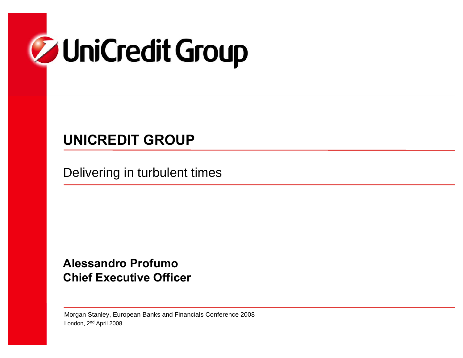

# **UNICREDIT GROUP**

Delivering in turbulent times

**Alessandro ProfumoChief Executive Officer**

Morgan Stanley, European Banks and Financials Conference 2008 London, 2nd April 2008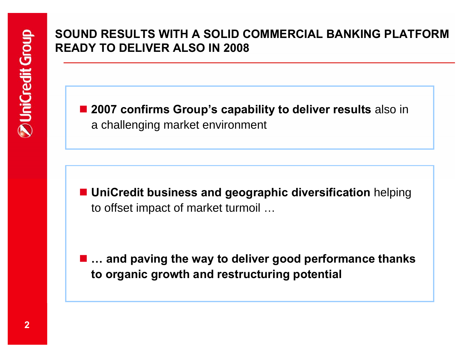## **SOUND RESULTS WITH A SOLID COMMERCIAL BANKING PLATFORM READY TO DELIVER ALSO IN 2008**

■ 2007 confirms Group's capability to deliver results also in a challenging market environment

 **UniCredit business and geographic diversification** helping to offset impact of market turmoil …

 **… and paving the way to deliver good performance thanks to organic growth and restructuring potential**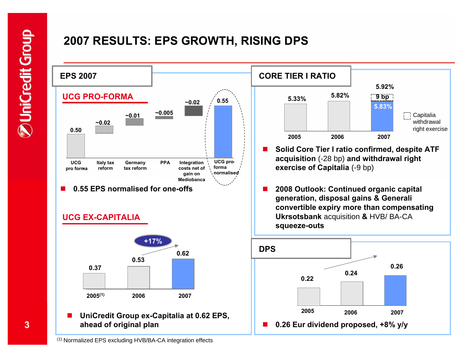# **2007 RESULTS: EPS GROWTH, RISING DPS**



**3**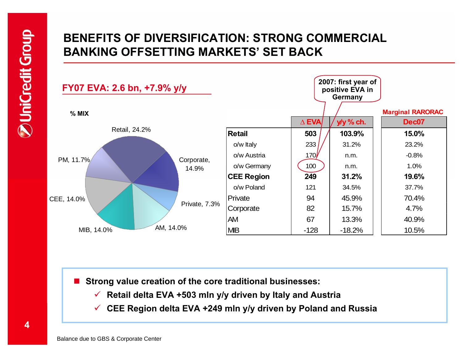## **BENEFITS OF DIVERSIFICATION: STRONG COMMERCIAL BANKING OFFSETTING MARKETS' SET BACK**



■ Strong value creation of the core traditional businesses:

- 9 **Retail delta EVA +503 mln y/y driven by Italy and Austria**
- 9 **CEE Region delta EVA +249 mln y/y driven by Poland and Russia**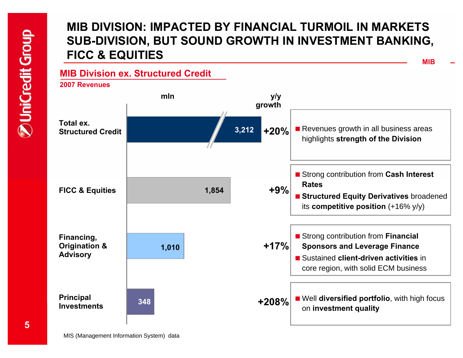## **MIB DIVISION: IMPACTED BY FINANCIAL TURMOIL IN MARKETS SUB-DIVISION, BUT SOUND GROWTH IN INVESTMENT BANKING, FICC & EQUITIES**

**MIB**

### **MIB Division ex. Structured Credit**

**2007 Revenues**

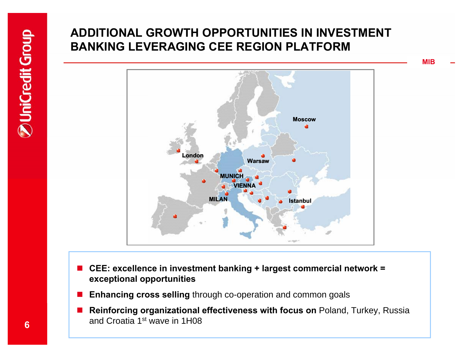# **ADDITIONAL GROWTH OPPORTUNITIES IN INVESTMENT BANKING LEVERAGING CEE REGION PLATFORM**



- **CEE: excellence in investment banking + largest commercial network = exceptional opportunities**
- **Enhancing cross selling** through co-operation and common goals
- **Reinforcing organizational effectiveness with focus on** Poland, Turkey, Russia and Croatia 1st wave in 1H08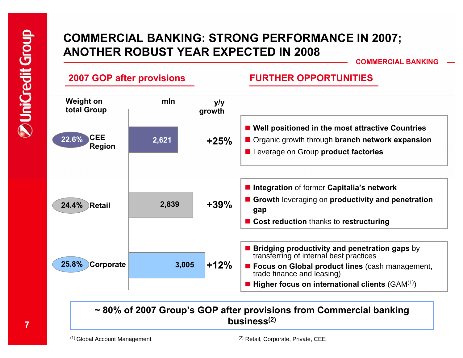### **COMMERCIAL BANKING: STRONG PERFORMANCE IN 2007; ANOTHER ROBUST YEAR EXPECTED IN 2008**

**COMMERCIAL BANKING**



#### **~ 80% of 2007 Group's GOP after provisions from Commercial banking business(2)**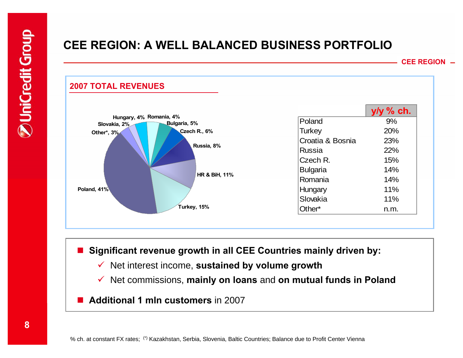### **CEE REGION: A WELL BALANCED BUSINESS PORTFOLIO**

**CEE REGION**



■ Significant revenue growth in all CEE Countries mainly driven by:

- $\checkmark$ Net interest income, **sustained by volume growth**
- $\checkmark$ Net commissions, **mainly on loans** and **on mutual funds in Poland**
- **Additional 1 mln customers** in 2007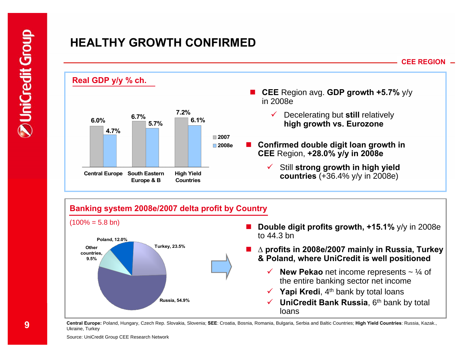## **HEALTHY GROWTH CONFIRMED**





**Central Europe:** Poland, Hungary, Czech Rep. Slovakia, Slovenia; **SEE**: Croatia, Bosnia, Romania, Bulgaria, Serbia and Baltic Countries; **High Yield Countries**: Russia, Kazak., Ukraine, Turkey

**9**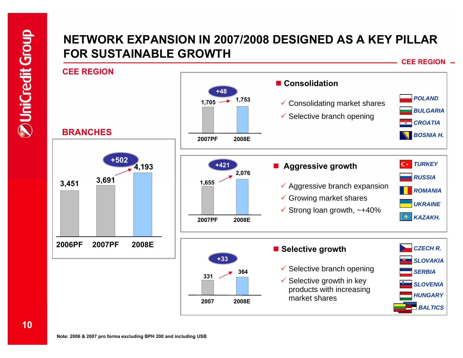## **NETWORK EXPANSION IN 2007/2008 DESIGNED AS A KEY PILLAR FOR SUSTAINABLE GROWTH**

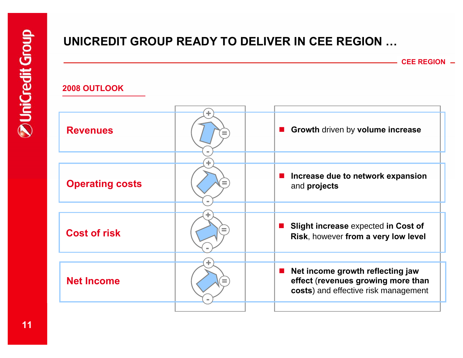# **UNICREDIT GROUP READY TO DELIVER IN CEE REGION …**

**CEE REGION**

#### **2008 OUTLOOK**

| <b>Revenues</b>        | ÷. | Growth driven by volume increase                                                                               |  |
|------------------------|----|----------------------------------------------------------------------------------------------------------------|--|
|                        |    |                                                                                                                |  |
| <b>Operating costs</b> |    | Increase due to network expansion<br>ш<br>and projects                                                         |  |
|                        |    |                                                                                                                |  |
| <b>Cost of risk</b>    | ÷  | Slight increase expected in Cost of<br>$\mathcal{L}^{\text{max}}$<br>Risk, however from a very low level       |  |
|                        |    |                                                                                                                |  |
| <b>Net Income</b>      |    | Net income growth reflecting jaw<br>effect (revenues growing more than<br>costs) and effective risk management |  |
|                        |    |                                                                                                                |  |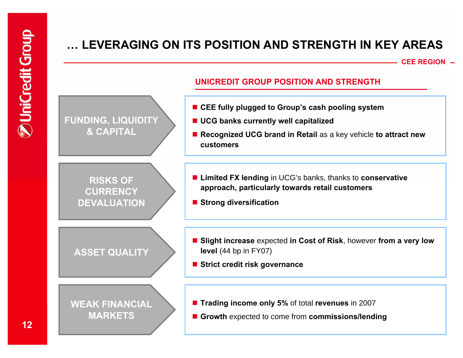# **… LEVERAGING ON ITS POSITION AND STRENGTH IN KEY AREAS**

**CEE REGION**

#### **UNICREDIT GROUP POSITION AND STRENGTH**

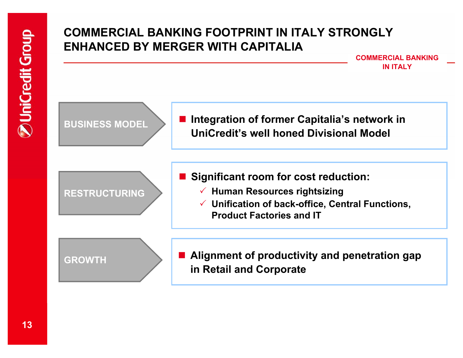### **COMMERCIAL BANKING FOOTPRINT IN ITALY STRONGLY ENHANCED BY MERGER WITH CAPITALIA**

**COMMERCIAL BANKINGIN ITALY**

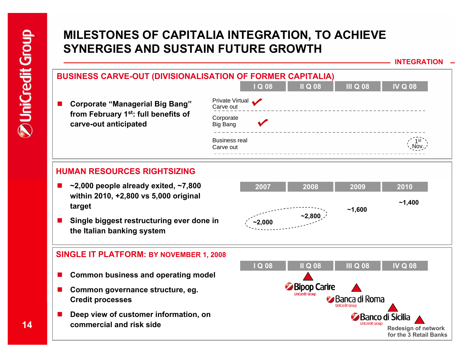## **MILESTONES OF CAPITALIA INTEGRATION, TO ACHIEVE SYNERGIES AND SUSTAIN FUTURE GROWTH**

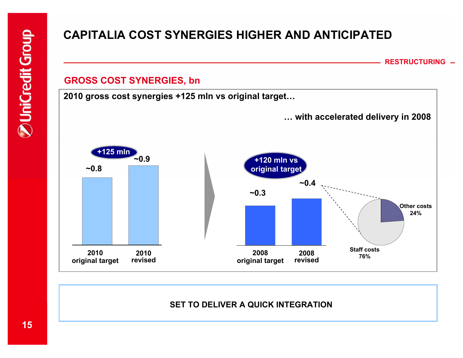# **CAPITALIA COST SYNERGIES HIGHER AND ANTICIPATED**

**RESTRUCTURING**

#### **GROSS COST SYNERGIES, bn**

**2010 gross cost synergies +125 mln vs original target…**



### **SET TO DELIVER A QUICK INTEGRATION**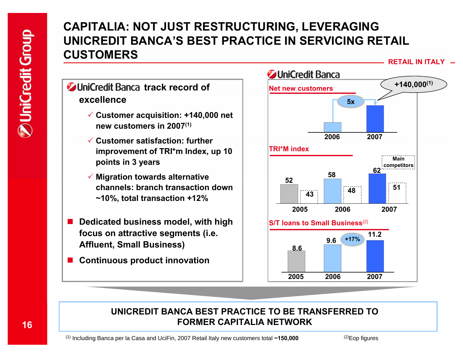### **CAPITALIA: NOT JUST RESTRUCTURING, LEVERAGING UNICREDIT BANCA'S BEST PRACTICE IN SERVICING RETAIL CUSTOMERS**

**RETAIL IN ITALY**

- **UniCredit Banca track record of excellence**
	- 3 **Customer acquisition: +140,000 net new customers in 2007(1)**
	- 3 **Customer satisfaction: further improvement of TRI\*m Index, up 10 points in 3 years**
	- 3 **Migration towards alternative channels: branch transaction down ~10%, total transaction +12%**
- **CONTRACTOR Dedicated business model, with high focus on attractive segments (i.e. Affluent, Small Business)**
- a sa sa **Continuous product innovation**



#### **UNICREDIT BANCA BEST PRACTICE TO BE TRANSFERRED TO FORMER CAPITALIA NETWORK**

(1) Including Banca per la Casa and UciFin, 2007 Retail Italy new customers total **~150,000**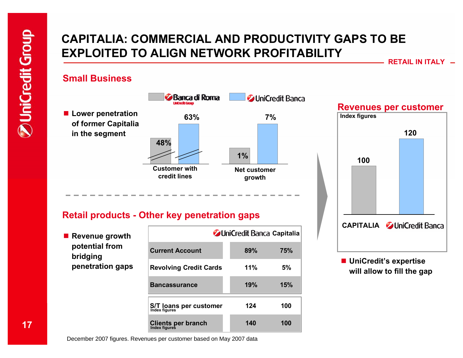## **CAPITALIA: COMMERCIAL AND PRODUCTIVITY GAPS TO BE EXPLOITED TO ALIGN NETWORK PROFITABILITY**

**RETAIL IN ITALY**

#### **Small Business**



#### **Retail products - Other key penetration gaps**

■ Revenue growth **potential from bridging penetration gaps**

|                                            | <b>JUniCredit Banca Capitalia</b> |     |  |  |
|--------------------------------------------|-----------------------------------|-----|--|--|
| <b>Current Account</b>                     | 89%                               | 75% |  |  |
| <b>Revolving Credit Cards</b>              | 11%                               | 5%  |  |  |
| <b>Bancassurance</b>                       | 19%                               | 15% |  |  |
| S/T loans per customer<br>Index figures    | 124                               | 100 |  |  |
| <b>Clients per branch</b><br>Index figures | 140                               | 100 |  |  |

**CAPITALIA** *C***UniCredit Banca** 

 **UniCredit's expertise will allow to fill the gap** 

December 2007 figures. Revenues per customer based on May 2007 data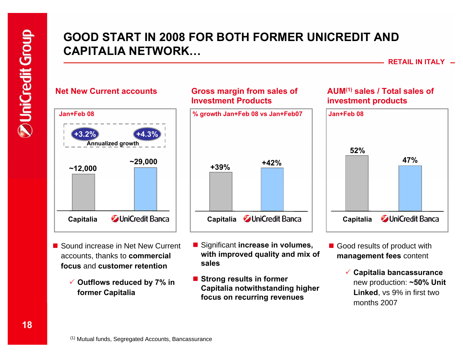### **GOOD START IN 2008 FOR BOTH FORMER UNICREDIT AND CAPITALIA NETWORK…**

**RETAIL IN ITALY**



#### **Gross margin from sales of Investment Products**



- Sound increase in Net New Current accounts, thanks to **commercial focus** and **customer retention**
	- 3 **Outflows reduced by 7% in former Capitalia**
- Significant **increase in volumes**, **with improved quality and mix of sales**
- Strong results in former **Capitalia notwithstanding higher focus on recurring revenues**

#### **AUM(1) sales / Total sales of investment products**



- Good results of product with **management fees** content
	- 3 **Capitalia bancassurance** new production: **~50% Unit Linked**, vs 9% in first two months 2007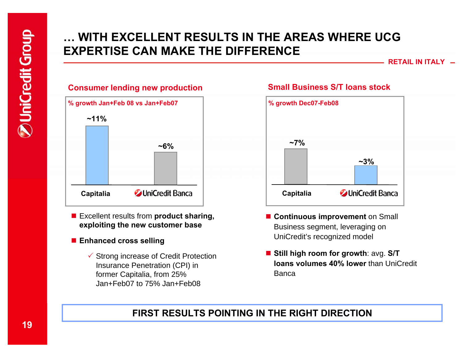## **… WITH EXCELLENT RESULTS IN THE AREAS WHERE UCG EXPERTISE CAN MAKE THE DIFFERENCE**

**RETAIL IN ITALY**



- Excellent results from **product sharing**, **exploiting the new customer base**
- **Enhanced cross selling**
	- $\checkmark$  Strong increase of Credit Protection Insurance Penetration (CPI) in former Capitalia, from 25% Jan+Feb07 to 75% Jan+Feb08

#### **Small Business S/T loans stock**



- **E** Continuous improvement on Small Business segment, leveraging on UniCredit's recognized model
- **Still high room for growth**: avg. **S/T loans volumes 40% lower** than UniCredit Banca

### **FIRST RESULTS POINTING IN THE RIGHT DIRECTION**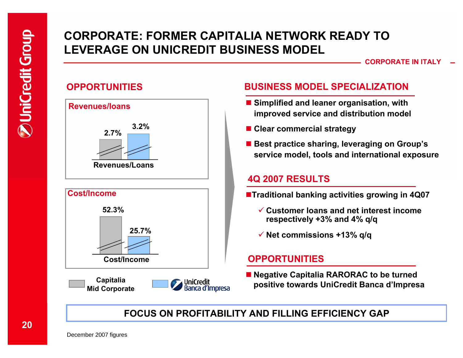## **CORPORATE: FORMER CAPITALIA NETWORK READY TO LEVERAGE ON UNICREDIT BUSINESS MODEL**

#### $\sf{CORPORTE}$  IN ITALY

### **OPPORTUNITIES**









### **BUSINESS MODEL SPECIALIZATION**

- Simplified and leaner organisation, with **improved service and distribution model**
- **Clear commercial strategy**
- **Best practice sharing, leveraging on Group's service model, tools and international exposure**

#### **4Q 2007 RESULTS**

- **Traditional banking activities growing in 4Q07**
	- 9 **Customer loans and net interest income respectively +3% and 4% q/q**
	- 9 **Net commissions +13% q/q**

### **OPPORTUNITIES**

■ **Negative Capitalia RARORAC to be turned positive towards UniCredit Banca d'Impresa**

### **FOCUS ON PROFITABILITY AND FILLING EFFICIENCY GAP**

December 2007 figures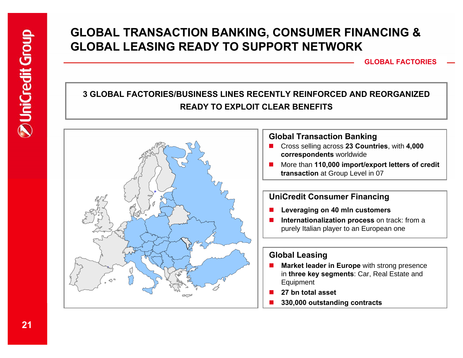## **GLOBAL TRANSACTION BANKING, CONSUMER FINANCING & GLOBAL LEASING READY TO SUPPORT NETWORK**

**GLOBAL FACTORIES**

### **3 GLOBAL FACTORIES/BUSINESS LINES RECENTLY REINFORCED AND REORGANIZEDREADY TO EXPLOIT CLEAR BENEFITS**

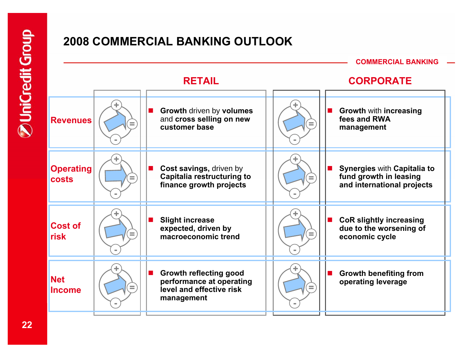# **2008 COMMERCIAL BANKING OUTLOOK**

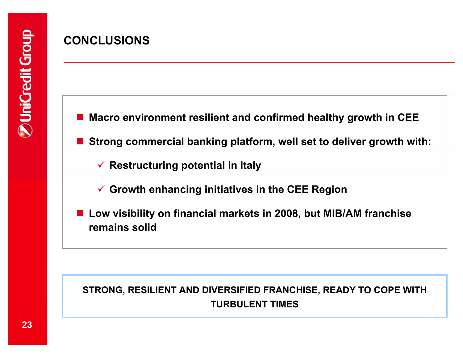# **CONCLUSIONS**

■ Macro environment resilient and confirmed healthy growth in **CEE** 

**Strong commercial banking platform, well set to deliver growth with:**

**√ Restructuring potential in Italy** 

9 **Growth enhancing initiatives in the CEE Region**

■ Low visibility on financial markets in 2008, but MIB/AM franchise **remains solid** 

### **STRONG, RESILIENT AND DIVERSIFIED FRANCHISE, READY TO COPE WITH TURBULENT TIMES**